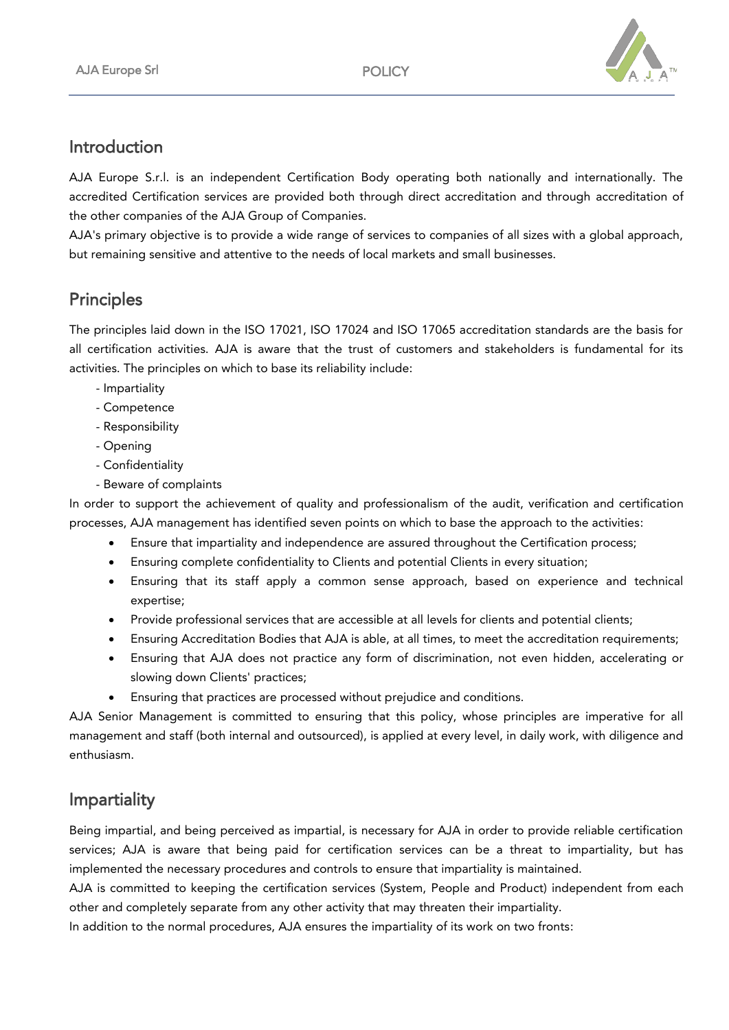

#### Introduction

AJA Europe S.r.l. is an independent Certification Body operating both nationally and internationally. The accredited Certification services are provided both through direct accreditation and through accreditation of the other companies of the AJA Group of Companies.

AJA's primary objective is to provide a wide range of services to companies of all sizes with a global approach, but remaining sensitive and attentive to the needs of local markets and small businesses.

# **Principles**

The principles laid down in the ISO 17021, ISO 17024 and ISO 17065 accreditation standards are the basis for all certification activities. AJA is aware that the trust of customers and stakeholders is fundamental for its activities. The principles on which to base its reliability include:

- Impartiality
- Competence
- Responsibility
- Opening
- Confidentiality
- Beware of complaints

In order to support the achievement of quality and professionalism of the audit, verification and certification processes, AJA management has identified seven points on which to base the approach to the activities:

- Ensure that impartiality and independence are assured throughout the Certification process;
- Ensuring complete confidentiality to Clients and potential Clients in every situation;
- Ensuring that its staff apply a common sense approach, based on experience and technical expertise;
- Provide professional services that are accessible at all levels for clients and potential clients;
- Ensuring Accreditation Bodies that AJA is able, at all times, to meet the accreditation requirements;
- Ensuring that AJA does not practice any form of discrimination, not even hidden, accelerating or slowing down Clients' practices;
- Ensuring that practices are processed without prejudice and conditions.

AJA Senior Management is committed to ensuring that this policy, whose principles are imperative for all management and staff (both internal and outsourced), is applied at every level, in daily work, with diligence and enthusiasm.

# Impartiality

Being impartial, and being perceived as impartial, is necessary for AJA in order to provide reliable certification services; AJA is aware that being paid for certification services can be a threat to impartiality, but has implemented the necessary procedures and controls to ensure that impartiality is maintained.

AJA is committed to keeping the certification services (System, People and Product) independent from each other and completely separate from any other activity that may threaten their impartiality.

In addition to the normal procedures, AJA ensures the impartiality of its work on two fronts: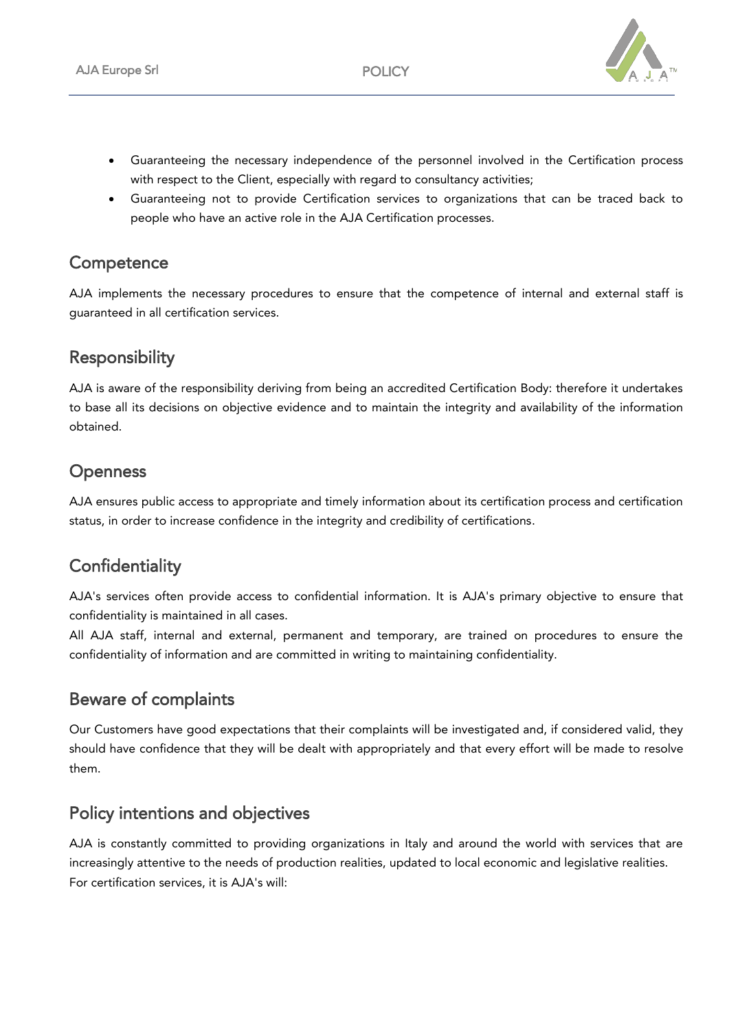

- Guaranteeing the necessary independence of the personnel involved in the Certification process with respect to the Client, especially with regard to consultancy activities;
- Guaranteeing not to provide Certification services to organizations that can be traced back to people who have an active role in the AJA Certification processes.

#### **Competence**

AJA implements the necessary procedures to ensure that the competence of internal and external staff is guaranteed in all certification services.

#### **Responsibility**

AJA is aware of the responsibility deriving from being an accredited Certification Body: therefore it undertakes to base all its decisions on objective evidence and to maintain the integrity and availability of the information obtained.

### **Openness**

AJA ensures public access to appropriate and timely information about its certification process and certification status, in order to increase confidence in the integrity and credibility of certifications.

### **Confidentiality**

AJA's services often provide access to confidential information. It is AJA's primary objective to ensure that confidentiality is maintained in all cases.

All AJA staff, internal and external, permanent and temporary, are trained on procedures to ensure the confidentiality of information and are committed in writing to maintaining confidentiality.

#### Beware of complaints

Our Customers have good expectations that their complaints will be investigated and, if considered valid, they should have confidence that they will be dealt with appropriately and that every effort will be made to resolve them.

#### Policy intentions and objectives

AJA is constantly committed to providing organizations in Italy and around the world with services that are increasingly attentive to the needs of production realities, updated to local economic and legislative realities. For certification services, it is AJA's will: